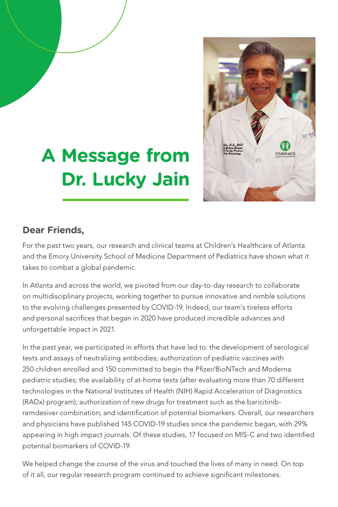

## **A Message from Dr. Lucky Jain**

## **Dear Friends,**

For the past two years, our research and clinical teams at Children's Healthcare of Atlanta and the Emory University School of Medicine Department of Pediatrics have shown what it takes to combat a global pandemic.

In Atlanta and across the world, we pivoted from our day-to-day research to collaborate on multidisciplinary projects, working together to pursue innovative and nimble solutions to the evolving challenges presented by COVID-19. Indeed, our team's tireless efforts and personal sacrifices that began in 2020 have produced incredible advances and unforgettable impact in 2021.

In the past year, we participated in efforts that have led to: the development of serological tests and assays of neutralizing antibodies; authorization of pediatric vaccines with 250 children enrolled and 150 committed to begin the Pfizer/BioNTech and Moderna pediatric studies; the availability of at-home tests (after evaluating more than 70 different technologies in the National Institutes of Health (NIH) Rapid Acceleration of Diagnostics (RADx) program); authorization of new drugs for treatment such as the baricitinibremdesiver combination; and identification of potential biomarkers. Overall, our researchers and physicians have published 145 COVID-19 studies since the pandemic began, with 29% appearing in high impact journals. Of these studies, 17 focused on MIS-C and two identified potential biomarkers of COVID-19.

We helped change the course of the virus and touched the lives of many in need. On top of it all, our regular research program continued to achieve significant milestones.